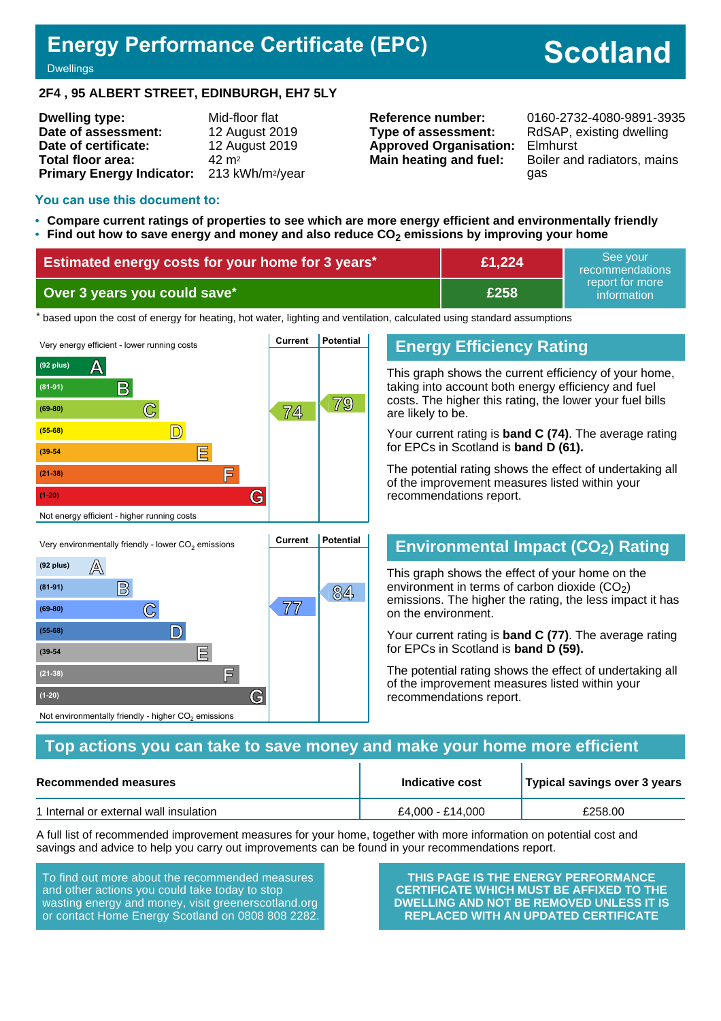## **Energy Performance Certificate (EPC)**

# **Scotland**

#### Dwellings

#### **2F4 , 95 ALBERT STREET, EDINBURGH, EH7 5LY**

| <b>Dwelling type:</b>            | Mid-floor flat               |
|----------------------------------|------------------------------|
| Date of assessment:              | 12 August 2019               |
| Date of certificate:             | 12 August 2019               |
| Total floor area:                | $42 \; \mathrm{m}^2$         |
| <b>Primary Energy Indicator:</b> | 213 kWh/m <sup>2</sup> /year |

## **Type of assessment:** RdSAP, existing dwelling **Approved Organisation:** Elmhurst

**Reference number:** 0160-2732-4080-9891-3935 **Main heating and fuel:** Boiler and radiators, mains gas

#### **You can use this document to:**

- **Compare current ratings of properties to see which are more energy efficient and environmentally friendly**
- **Find out how to save energy and money and also reduce CO2 emissions by improving your home**

| Estimated energy costs for your home for 3 years* | £1,224 | See your<br>recommendations    |
|---------------------------------------------------|--------|--------------------------------|
| Over 3 years you could save*                      | £258   | report for more<br>information |

based upon the cost of energy for heating, hot water, lighting and ventilation, calculated using standard assumptions



**B 84 (81-91)**

**(69-80) C 77**

**(55-68) D**

**(39-54 E**

**(21-38) F**

Not environmentally friendly - higher  $\mathrm{CO}_2$  emissions

**(1-20) G**

### **Energy Efficiency Rating**

This graph shows the current efficiency of your home, taking into account both energy efficiency and fuel costs. The higher this rating, the lower your fuel bills are likely to be.

Your current rating is **band C (74)**. The average rating for EPCs in Scotland is **band D (61).**

The potential rating shows the effect of undertaking all of the improvement measures listed within your recommendations report.

#### **Environmental Impact (CO2) Rating**

This graph shows the effect of your home on the environment in terms of carbon dioxide  $(CO<sub>2</sub>)$ emissions. The higher the rating, the less impact it has on the environment.

Your current rating is **band C (77)**. The average rating for EPCs in Scotland is **band D (59).**

The potential rating shows the effect of undertaking all of the improvement measures listed within your recommendations report.

#### **Top actions you can take to save money and make your home more efficient**

| Recommended measures                   | Indicative cost  | Typical savings over 3 years |  |
|----------------------------------------|------------------|------------------------------|--|
| 1 Internal or external wall insulation | £4.000 - £14.000 | £258.00                      |  |

A full list of recommended improvement measures for your home, together with more information on potential cost and savings and advice to help you carry out improvements can be found in your recommendations report.

To find out more about the recommended measures and other actions you could take today to stop wasting energy and money, visit greenerscotland.org or contact Home Energy Scotland on 0808 808 2282.

**THIS PAGE IS THE ENERGY PERFORMANCE CERTIFICATE WHICH MUST BE AFFIXED TO THE DWELLING AND NOT BE REMOVED UNLESS IT IS REPLACED WITH AN UPDATED CERTIFICATE**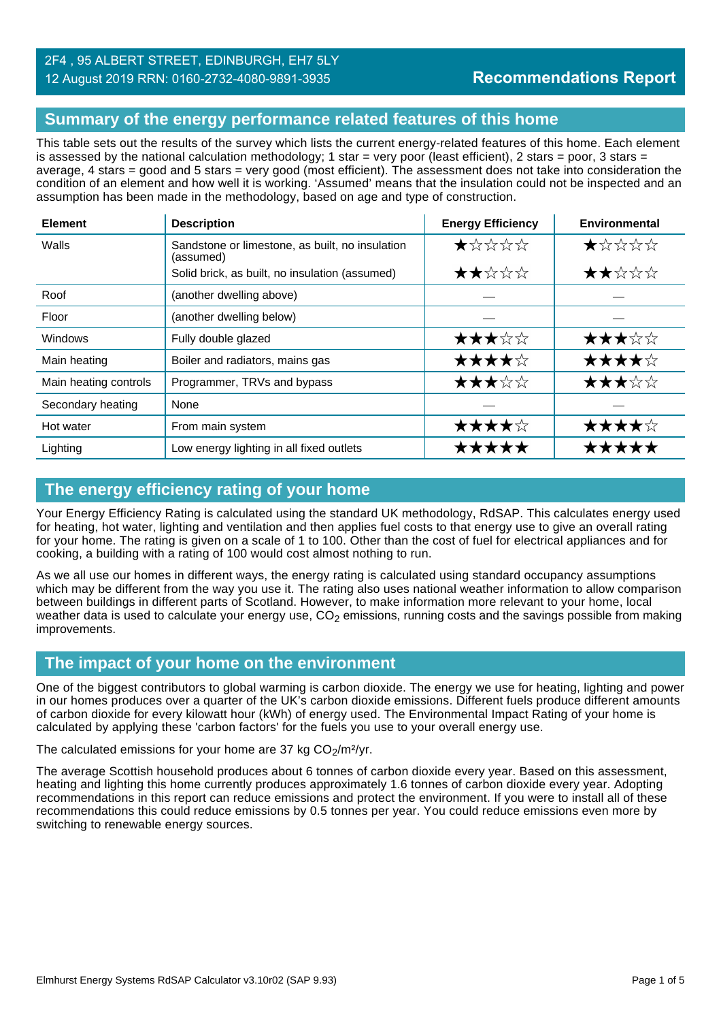## **Summary of the energy performance related features of this home**

This table sets out the results of the survey which lists the current energy-related features of this home. Each element is assessed by the national calculation methodology; 1 star = very poor (least efficient), 2 stars = poor, 3 stars = average, 4 stars = good and 5 stars = very good (most efficient). The assessment does not take into consideration the condition of an element and how well it is working. 'Assumed' means that the insulation could not be inspected and an assumption has been made in the methodology, based on age and type of construction.

| <b>Element</b>        | <b>Description</b>                                           | <b>Energy Efficiency</b>                                                       | Environmental |
|-----------------------|--------------------------------------------------------------|--------------------------------------------------------------------------------|---------------|
| Walls                 | Sandstone or limestone, as built, no insulation<br>(assumed) | $\bigstar\uparrow\downarrow\downarrow\downarrow\downarrow\downarrow\downarrow$ | ★☆☆☆☆         |
|                       | Solid brick, as built, no insulation (assumed)               | ★★☆☆☆                                                                          | ★★☆☆☆         |
| Roof                  | (another dwelling above)                                     |                                                                                |               |
| Floor                 | (another dwelling below)                                     |                                                                                |               |
| Windows               | Fully double glazed                                          | ★★★☆☆                                                                          | ★★★☆☆         |
| Main heating          | Boiler and radiators, mains gas                              | ★★★★☆                                                                          | ★★★★☆         |
| Main heating controls | Programmer, TRVs and bypass                                  | ★★★☆☆                                                                          | ★★★☆☆         |
| Secondary heating     | None                                                         |                                                                                |               |
| Hot water             | From main system                                             | ★★★★☆                                                                          | ★★★★☆         |
| Lighting              | Low energy lighting in all fixed outlets                     | *****                                                                          | *****         |

## **The energy efficiency rating of your home**

Your Energy Efficiency Rating is calculated using the standard UK methodology, RdSAP. This calculates energy used for heating, hot water, lighting and ventilation and then applies fuel costs to that energy use to give an overall rating for your home. The rating is given on a scale of 1 to 100. Other than the cost of fuel for electrical appliances and for cooking, a building with a rating of 100 would cost almost nothing to run.

As we all use our homes in different ways, the energy rating is calculated using standard occupancy assumptions which may be different from the way you use it. The rating also uses national weather information to allow comparison between buildings in different parts of Scotland. However, to make information more relevant to your home, local weather data is used to calculate your energy use,  $CO<sub>2</sub>$  emissions, running costs and the savings possible from making improvements.

## **The impact of your home on the environment**

One of the biggest contributors to global warming is carbon dioxide. The energy we use for heating, lighting and power in our homes produces over a quarter of the UK's carbon dioxide emissions. Different fuels produce different amounts of carbon dioxide for every kilowatt hour (kWh) of energy used. The Environmental Impact Rating of your home is calculated by applying these 'carbon factors' for the fuels you use to your overall energy use.

The calculated emissions for your home are 37 kg  $CO<sub>2</sub>/m<sup>2</sup>/yr$ .

The average Scottish household produces about 6 tonnes of carbon dioxide every year. Based on this assessment, heating and lighting this home currently produces approximately 1.6 tonnes of carbon dioxide every year. Adopting recommendations in this report can reduce emissions and protect the environment. If you were to install all of these recommendations this could reduce emissions by 0.5 tonnes per year. You could reduce emissions even more by switching to renewable energy sources.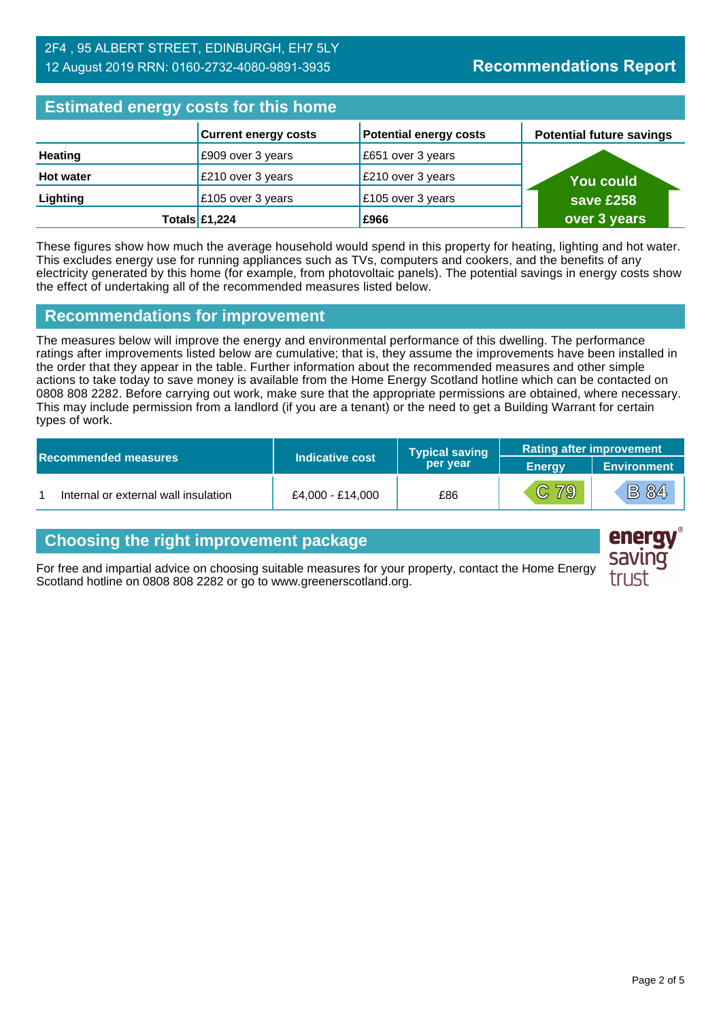#### 2F4 , 95 ALBERT STREET, EDINBURGH, EH7 5LY 12 August 2019 RRN: 0160-2732-4080-9891-3935

## **Estimated energy costs for this home**

| <b>EDITION OF STRING AND TO MANY HOLDING</b> |                             |                               |                                 |
|----------------------------------------------|-----------------------------|-------------------------------|---------------------------------|
|                                              | <b>Current energy costs</b> | <b>Potential energy costs</b> | <b>Potential future savings</b> |
| <b>Heating</b>                               | E909 over 3 years           | £651 over 3 years             |                                 |
| <b>Hot water</b>                             | £210 over 3 years           | £210 over 3 years             | <b>You could</b>                |
| Lighting                                     | £105 over 3 years           | £105 over 3 years             | save £258                       |
|                                              | Totals $£1,224$             | £966                          | over 3 years                    |

These figures show how much the average household would spend in this property for heating, lighting and hot water. This excludes energy use for running appliances such as TVs, computers and cookers, and the benefits of any electricity generated by this home (for example, from photovoltaic panels). The potential savings in energy costs show the effect of undertaking all of the recommended measures listed below.

### **Recommendations for improvement**

The measures below will improve the energy and environmental performance of this dwelling. The performance ratings after improvements listed below are cumulative; that is, they assume the improvements have been installed in the order that they appear in the table. Further information about the recommended measures and other simple actions to take today to save money is available from the Home Energy Scotland hotline which can be contacted on 0808 808 2282. Before carrying out work, make sure that the appropriate permissions are obtained, where necessary. This may include permission from a landlord (if you are a tenant) or the need to get a Building Warrant for certain types of work.

|                                      |                  | <b>Typical saving</b> | <b>Rating after improvement</b> |                    |
|--------------------------------------|------------------|-----------------------|---------------------------------|--------------------|
| <b>Recommended measures</b>          | Indicative cost  | per year              | <b>Energy</b>                   | <b>Environment</b> |
| Internal or external wall insulation | £4,000 - £14,000 | £86                   | $\mathbb{C}$<br>79              | <b>B 84</b>        |

## **Choosing the right improvement package**

For free and impartial advice on choosing suitable measures for your property, contact the Home Energy Scotland hotline on 0808 808 2282 or go to www.greenerscotland.org.

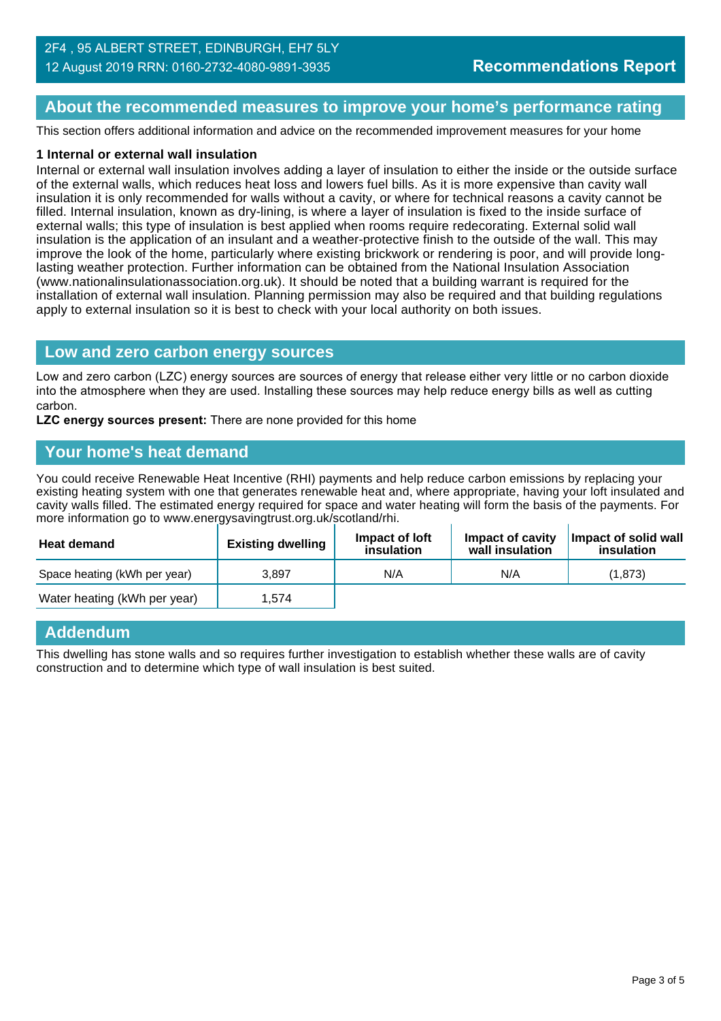### **About the recommended measures to improve your home's performance rating**

This section offers additional information and advice on the recommended improvement measures for your home

#### **1 Internal or external wall insulation**

Internal or external wall insulation involves adding a layer of insulation to either the inside or the outside surface of the external walls, which reduces heat loss and lowers fuel bills. As it is more expensive than cavity wall insulation it is only recommended for walls without a cavity, or where for technical reasons a cavity cannot be filled. Internal insulation, known as dry-lining, is where a layer of insulation is fixed to the inside surface of external walls; this type of insulation is best applied when rooms require redecorating. External solid wall insulation is the application of an insulant and a weather-protective finish to the outside of the wall. This may improve the look of the home, particularly where existing brickwork or rendering is poor, and will provide longlasting weather protection. Further information can be obtained from the National Insulation Association (www.nationalinsulationassociation.org.uk). It should be noted that a building warrant is required for the installation of external wall insulation. Planning permission may also be required and that building regulations apply to external insulation so it is best to check with your local authority on both issues.

#### **Low and zero carbon energy sources**

Low and zero carbon (LZC) energy sources are sources of energy that release either very little or no carbon dioxide into the atmosphere when they are used. Installing these sources may help reduce energy bills as well as cutting carbon.

**LZC energy sources present:** There are none provided for this home

#### **Your home's heat demand**

You could receive Renewable Heat Incentive (RHI) payments and help reduce carbon emissions by replacing your existing heating system with one that generates renewable heat and, where appropriate, having your loft insulated and cavity walls filled. The estimated energy required for space and water heating will form the basis of the payments. For more information go to www.energysavingtrust.org.uk/scotland/rhi.

| <b>Heat demand</b>           | <b>Existing dwelling</b> | Impact of Joft<br>insulation | Impact of cavity<br>wall insulation | Impact of solid wall<br>insulation |
|------------------------------|--------------------------|------------------------------|-------------------------------------|------------------------------------|
| Space heating (kWh per year) | 3.897                    | N/A                          | N/A                                 | (1.873)                            |
| Water heating (kWh per year) | ∣.574                    |                              |                                     |                                    |

#### **Addendum**

This dwelling has stone walls and so requires further investigation to establish whether these walls are of cavity construction and to determine which type of wall insulation is best suited.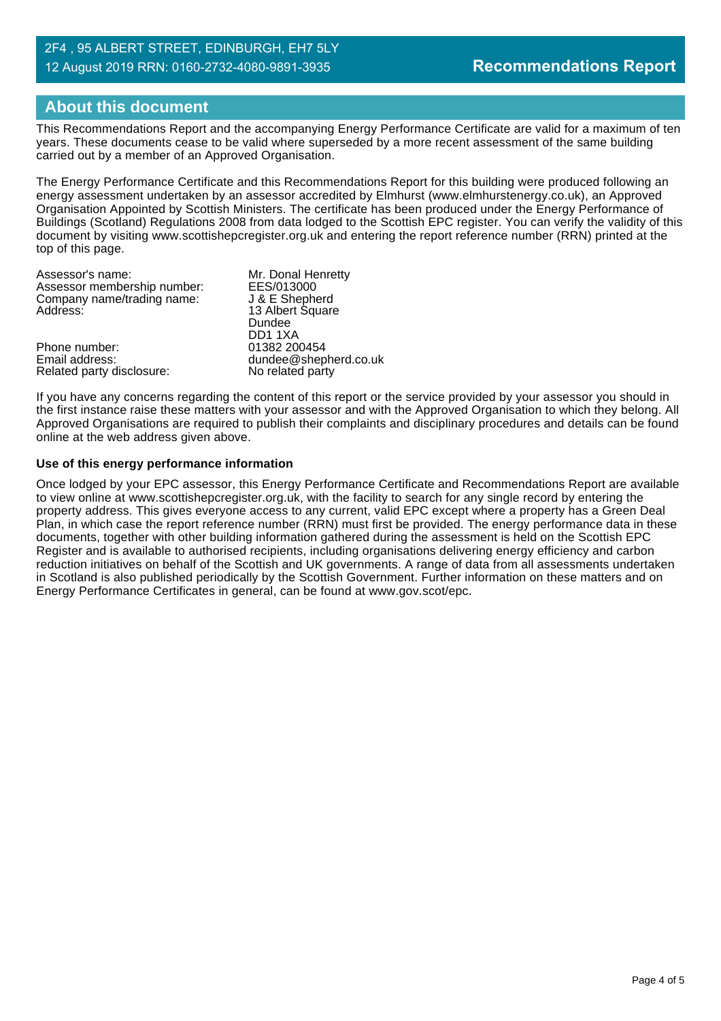#### 2F4 , 95 ALBERT STREET, EDINBURGH, EH7 5LY 12 August 2019 RRN: 0160-2732-4080-9891-3935

## **About this document**

This Recommendations Report and the accompanying Energy Performance Certificate are valid for a maximum of ten years. These documents cease to be valid where superseded by a more recent assessment of the same building carried out by a member of an Approved Organisation.

The Energy Performance Certificate and this Recommendations Report for this building were produced following an energy assessment undertaken by an assessor accredited by Elmhurst (www.elmhurstenergy.co.uk), an Approved Organisation Appointed by Scottish Ministers. The certificate has been produced under the Energy Performance of Buildings (Scotland) Regulations 2008 from data lodged to the Scottish EPC register. You can verify the validity of this document by visiting www.scottishepcregister.org.uk and entering the report reference number (RRN) printed at the top of this page.

| Assessor's name:            | Mr. Donal Henretty    |
|-----------------------------|-----------------------|
| Assessor membership number: | EES/013000            |
| Company name/trading name:  | J & E Shepherd        |
| Address:                    | 13 Albert Square      |
|                             | Dundee                |
|                             | DD11XA                |
| Phone number:               | 01382 200454          |
| Email address:              | dundee@shepherd.co.uk |
| Related party disclosure:   | No related party      |

If you have any concerns regarding the content of this report or the service provided by your assessor you should in the first instance raise these matters with your assessor and with the Approved Organisation to which they belong. All Approved Organisations are required to publish their complaints and disciplinary procedures and details can be found online at the web address given above.

#### **Use of this energy performance information**

Once lodged by your EPC assessor, this Energy Performance Certificate and Recommendations Report are available to view online at www.scottishepcregister.org.uk, with the facility to search for any single record by entering the property address. This gives everyone access to any current, valid EPC except where a property has a Green Deal Plan, in which case the report reference number (RRN) must first be provided. The energy performance data in these documents, together with other building information gathered during the assessment is held on the Scottish EPC Register and is available to authorised recipients, including organisations delivering energy efficiency and carbon reduction initiatives on behalf of the Scottish and UK governments. A range of data from all assessments undertaken in Scotland is also published periodically by the Scottish Government. Further information on these matters and on Energy Performance Certificates in general, can be found at www.gov.scot/epc.